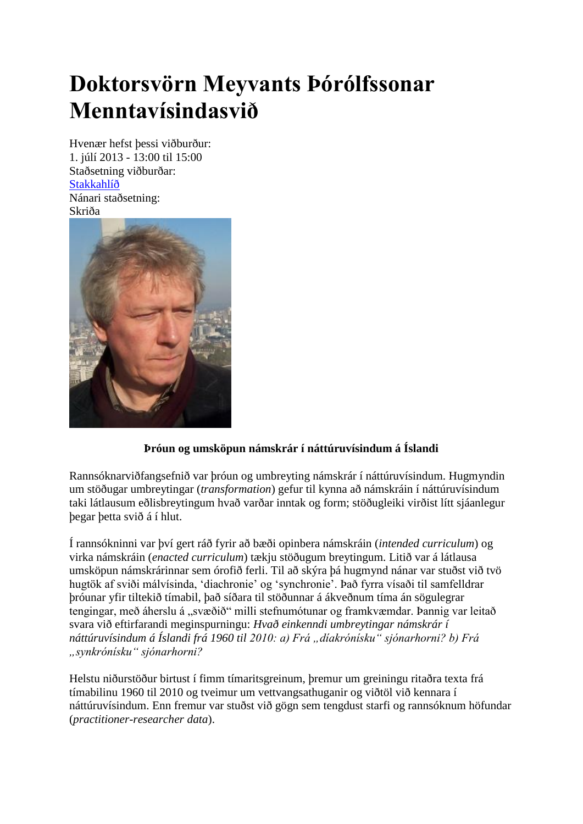## **Doktorsvörn Meyvants Þórólfssonar Menntavísindasvið**

Hvenær hefst þessi viðburður: 1. júlí 2013 - 13:00 til 15:00 Staðsetning viðburðar: [Stakkahlíð](http://wayback.vefsafn.is/wayback/20131119172820/http:/www.hi.is/stakkahlid) Nánari staðsetning: Skriða



## **Þróun og umsköpun námskrár í náttúruvísindum á Íslandi**

Rannsóknarviðfangsefnið var þróun og umbreyting námskrár í náttúruvísindum. Hugmyndin um stöðugar umbreytingar (*transformation*) gefur til kynna að námskráin í náttúruvísindum taki látlausum eðlisbreytingum hvað varðar inntak og form; stöðugleiki virðist lítt sjáanlegur þegar þetta svið á í hlut.

Í rannsókninni var því gert ráð fyrir að bæði opinbera námskráin (*intended curriculum*) og virka námskráin (*enacted curriculum*) tækju stöðugum breytingum. Litið var á látlausa umsköpun námskrárinnar sem órofið ferli. Til að skýra þá hugmynd nánar var stuðst við tvö hugtök af sviði málvísinda, 'diachronie' og 'synchronie'. Það fyrra vísaði til samfelldrar þróunar yfir tiltekið tímabil, það síðara til stöðunnar á ákveðnum tíma án sögulegrar tengingar, með áherslu á "svæðið" milli stefnumótunar og framkvæmdar. Þannig var leitað svara við eftirfarandi meginspurningu: *Hvað einkenndi umbreytingar námskrár í náttúruvísindum á Íslandi frá 1960 til 2010: a) Frá "díakrónísku" sjónarhorni? b) Frá "synkrónísku" sjónarhorni?*

Helstu niðurstöður birtust í fimm tímaritsgreinum, þremur um greiningu ritaðra texta frá tímabilinu 1960 til 2010 og tveimur um vettvangsathuganir og viðtöl við kennara í náttúruvísindum. Enn fremur var stuðst við gögn sem tengdust starfi og rannsóknum höfundar (*practitioner-researcher data*).